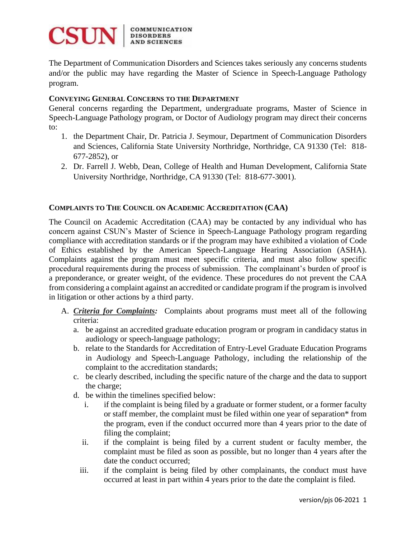

The Department of Communication Disorders and Sciences takes seriously any concerns students and/or the public may have regarding the Master of Science in Speech-Language Pathology program.

## **CONVEYING GENERAL CONCERNS TO THE DEPARTMENT**

General concerns regarding the Department, undergraduate programs, Master of Science in Speech-Language Pathology program, or Doctor of Audiology program may direct their concerns to:

- 1. the Department Chair, Dr. Patricia J. Seymour, Department of Communication Disorders and Sciences, California State University Northridge, Northridge, CA 91330 (Tel: 818- 677-2852), or
- 2. Dr. Farrell J. Webb, Dean, College of Health and Human Development, California State University Northridge, Northridge, CA 91330 (Tel: 818-677-3001).

## **COMPLAINTS TO THE COUNCIL ON ACADEMIC ACCREDITATION (CAA)**

The Council on Academic Accreditation (CAA) may be contacted by any individual who has concern against CSUN's Master of Science in Speech-Language Pathology program regarding compliance with accreditation standards or if the program may have exhibited a violation of Code of Ethics established by the American Speech-Language Hearing Association (ASHA). Complaints against the program must meet specific criteria, and must also follow specific procedural requirements during the process of submission. The complainant's burden of proof is a preponderance, or greater weight, of the evidence. These procedures do not prevent the CAA from considering a complaint against an accredited or candidate program if the program is involved in litigation or other actions by a third party.

- A. *Criteria for Complaints:* Complaints about programs must meet all of the following criteria:
	- a. be against an accredited graduate education program or program in candidacy status in audiology or speech-language pathology;
	- b. relate to the Standards for Accreditation of Entry-Level Graduate Education Programs in Audiology and Speech-Language Pathology, including the relationship of the complaint to the accreditation standards;
	- c. be clearly described, including the specific nature of the charge and the data to support the charge;
	- d. be within the timelines specified below:
		- i. if the complaint is being filed by a graduate or former student, or a former faculty or staff member, the complaint must be filed within one year of separation\* from the program, even if the conduct occurred more than 4 years prior to the date of filing the complaint;
		- ii. if the complaint is being filed by a current student or faculty member, the complaint must be filed as soon as possible, but no longer than 4 years after the date the conduct occurred;
		- iii. if the complaint is being filed by other complainants, the conduct must have occurred at least in part within 4 years prior to the date the complaint is filed.